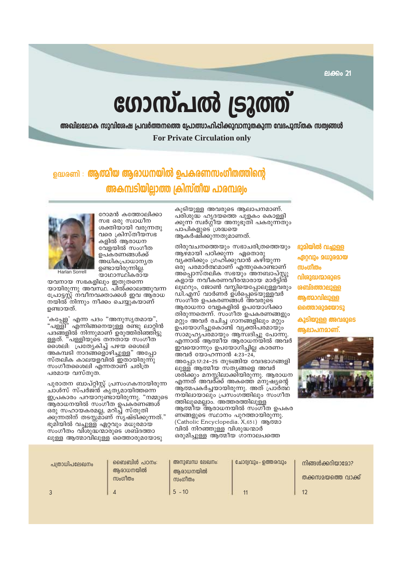# ഗോസ്പൽ ട്രൂത്ത്

അഖിലലോക സുവിശേഷ പ്രവർത്തനത്തെ പ്രോത്സാഹിപ്പിക്കുവാനുതകുന്ന വേദപുസ്തക സത്വങ്ങൾ **For Private Circulation only** 

## <u> ഉദ്ധരണി : **ആത്മീയ ആരാധനയിൽ ഉപകരണസംഗീതത്തിന്റെ**</u> അകമ്പടിയില്ലാത്ത ക്രിസ്തീയ പാരമ്പരം

റോമൻ കത്തോലിക്കാ സഭ ഒരു സ്വാധീന ശക്തിയായി വരുന്നതു വരെ ക്രിസ്തീയസഭ കളിൽ ആരാധന വേദയിൽ സംഗീത ഉപകരണങ്ങൾക്ക് അധികപ്രാധാന്യത ഉണ്ടായിരുന്നില്ല. യാഥാസ്ഥികരായ

Harlan Sorrell

യവനായ സഭകളിലും ഇതുതന്നെ യായിരുന്നു അവസ്ഥ. പിൽ്ക്കാലത്തുവന്ന പ്രോട്ടസ്റ്റ് നവീനവക്താക്കൾ ഇവ ആരാധ<br>നയിൽ നിന്നും നീക്കം ചെയ്യുകയാണ് ഉണ്ടായത്.

'കപ്പേള' എന്ന പദം "അനുസൃതമായ",<br>"പള്ളി" എന്നിങ്ങനെയുള്ള രണ്ടു ലാറ്റിൻ പദങ്ങളിൽ നിന്നുമാണ് ഉരുത്തിരിഞ്ഞിട്ടു ള്ളത്. "പള്ളിയുടെ തനതായ സംഗീത ശൈലി: പ്രത്യേകിച്ച് പഴയ ശൈലി അകമ്പടി നാദങ്ങളൊഴിച്ചുള്ള" അപ്പോ സ്തലിക കാലയളവിൽ ഇതായിരുന്നു സംഗീതശൈലി എന്നതാണ് ചരിത്ര പരമായ വസ്തുത.

പുരാതന ബാപ്റ്റിസ്റ്റ് പ്രസംഗകനായിരുന്ന ചാൾസ് സ്പർജ്ൻ്്കൃത്യമായിത്തന്നെ ഇപ്രകാരം പറയാറുണ്ടായിരുന്നു. "നമ്മുടെ ആരാധനയിൽ സംഗീത ഉപ്കരണങ്ങൾ ഒരു സഹായകരമല്ല, മറിച്ച് സ്തുതി ക്കുന്നതിന് തടസ്സമ്ാണ് സൃഷ്ടിക്കുന്നത്." ഭൂമീയിൽ വച്ചുള്ള ഏറ്റവും മധുരമായ സംഗീതം വിശുദ്ധന്മാരുടെ ശബ്ദത്താ ലുള്ള ആത്മാവിലുള്ള ഒത്തൊരുമയോടു

കൂടിയുള്ള അവരുടെ ആലാപനമാണ്. പരിശുദ്ധ ഹൃദയത്തെ പുളകം കൊള്ളി ക്കുന്ന സ്വർഗ്ഗീയ അനുഭൂതി പകരുന്നതും പാപികളുടെ *ശ്രദ്ധയെ* ആകർഷിക്കുന്നതുമാണത്.

തിരുവചനത്തെയും സഭാചരിത്രത്തെയും ആഴ്മായി പഠിക്കുന്ന ഏതൊരു വൃക്തിക്കും ഗ്രഹിക്കുവാൻ കഴിയുന്ന ഒരു പരമാർത്ഥമാണ് എന്തുകൊണ്ടാണ് അപ്പൊസ്തലിക സഭയും അനബാപ്സ്റ്റു<br>കളായ നവീകരണവീരന്മാരായ മാർട്ടിൻ ലൂഥറും, ജോൺ വസ്ലിയെപ്പോലുള്ളവരും ഡി.എസ് വാർണർ ഉ്ൾപ്പെട്െയുള്ളവർ സംഗീത ഉപകരണങ്ങൾ അവരുടെ ആരാധനാ വേളകളിൽ ഉപയോഗിക്കാ തിരുന്നതെന്ന്. സംഗീത ഉപകരണങ്ങളും മറ്റും അവർ രചിച്ച ഗാനങ്ങളിലും മറ്റും ഉപ്യോഗിച്ചുകൊണ്ട് വ്യക്തിപരമായും സാമൂഹ്യപ്രമായും ആസ്വദിച്ചു പോന്നു. എന്നാൽ ആത്മീയ ആരാധനയിൽ അവർ ഇവയൊന്നും ഉപയോഗിച്ചില്ല കാരണം <u>അവർ യോഹന്നാൻ 4:23-24.</u> അപ്പോ:17:24-25 തുടങ്ങിയ വേദഭാഗങ്ങളി ലുള്ള ആത്മീയ സ്തൃങ്ങളെ അവർ ശ്രീക്കും മനസ്സിലാക്കിയിരുന്നു. ആരാധന എന്നത് അവർ്ക്ക് അകത്തെ മനുഷ്യന്റെ ആത്മപകർചയായിരുന്നു. അത് പ്രാർത്ഥ നയിലായാലും പ്രസംഗത്തിലും സംഗീത ത്തിലുമെല്ലാം. അത്തരത്തിലുള്ള ആത്മീയ ആരാധനയിൽ സംഗീത ഉപകര ണങ്ങളുടെ സ്ഥാനം പുറത്തായിരുന്നു. (Catholic Encyclopedia. X,651) ആത്മാ വിൽ നിറഞ്ഞുള്ള വിശുദ്ധന്മാർ ഒരുമിച്ചുള്ള ആത്മീയ ഗാനാലപത്തെ

ഭൂമിയിൽ വച്ചുള്ള ഏറവും മധുരമായ സംഗീതം വിശുദ്ധന്മാരുടെ <u>ശബ്ദത്താലുള്ള</u> ആത്മാവിലുള്ള **ഒത്തൊരുമയോടു** കൂടിയുള്ള അവരുടെ ൹ലാപനമാണ്



| പത്രാധിപലേഖനം | ബൈബിൾ പഠനം:<br>അരാധനയിൽ<br>സംഗീതം | അനുബന്ധ ലേഖനം:<br>ആരാധനയിൽ<br>സംഗീതം | ് ചോദ്യവും - ഉത്തരവും | നിങ്ങൾക്കറിയാമോ?<br>തക്കസമയത്തെ വാക്ക് |
|---------------|-----------------------------------|--------------------------------------|-----------------------|----------------------------------------|
|               |                                   | $5 - 10$                             |                       | $1^\circ$                              |

ലക്കം 21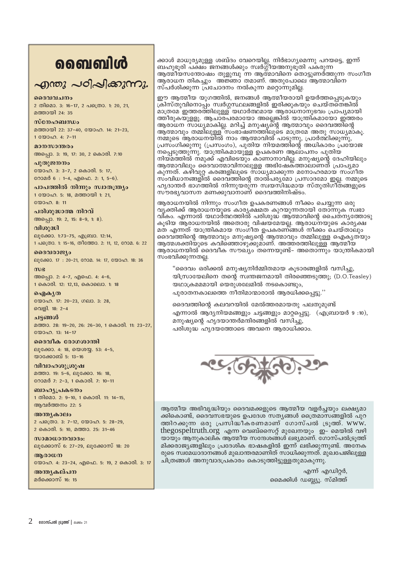## வைவிൾ

## എന്തു പഠിപ്പിക്കുന്നു.

### ദൈവവചനം

2 തിമൊ. 3: 16-17, 2 പത്രൊ. 1: 20, 21, മത്തായി 24 $\cdot$  35

### $m$  $\epsilon$  $\Omega_2$

മത്തായി 22: 37-40, യോഹ. 14: 21-23, 1 0000 0.4: 7-11

### മാനസാന്തരം അപ്പൊ. 3: 19, 17: 30, 2 കൊരി. 7:10

പ്പതുജനനം യോഹ. 3: 3-7, 2 കൊരി. 5: 17,

റോമർ 6 : 1-4, എഫെ. 2: 1, 5-6). പാപത്തിൽ നിന്നും സ്വാതന്ത്ര്യം

1 യോഹ. 5: 18, മത്തായി 1: 21, യോഹ. 8: 11

### പരിശുദ്ധാത്മ നിറവ്

അപ്പൊ. 19: 2, 15: 8-9, 1: 8).

### വിശുദ്ധി

ലൂക്കോ. 1:73-75, എബ്രാ. 12:14, 1 പത്രൊ. 1: 15-16, തീത്തോ. 2: 11, 12, റോമ. 6: 22

### ദൈവരാജ്യം

ലൂക്കോ. 17: 20-21, റോമ. 14: 17, യോഹ. 18: 36

### $m<sub>g</sub>$ അപ്പൊ. 2: 4-7, എഫെ. 4: 4-6, 1 കൊരി. 12: 12,13, കൊലൊ. 1: 18

ഐകൃത യോഹ. 17: 20-23, ഗലാ. 3: 28, വെളി. 18: 2-4

### ചട്ടങ്ങൾ

മത്താ. 28: 19-20, 26: 26-30, 1 കൊരി. 11: 23-27, യോഹ. 13: 14-17

### ദൈവീക രോഗശാന്തി ലൂക്കോ. 4: 18, യെശയ്യ. 53: 4-5, യാക്കോബ് 5: 13-16

വിവാഹശൂശ്രൂഷ മത്താ. 19: 5-6, ലൂക്കോ. 16: 18, റോമർ 7: 2-3, 1 കൊരി. 7: 10-11

ബാഹ്യപ്രകടനം 1 തിമൊ. 2: 9-10, 1 കൊരി. 11: 14-15, ആവർത്തനം 22: 5

അന്ത്യകാലം 2 പക്രൊ. 3: 7-12, യോഹ. 5: 28-29, 2 കൊരി. 5: 10, മത്താ. 25: 31-46

 $w$ ാമാധാനവാദം: ലൂക്കോസ് 6: 27-29, ലൂക്കോസ് 18: 20

### ആരാധന

യോഹ. 4: 23-24, എഫെ. 5: 19, 2 കൊരി. 3: 17

### അനുകല്പന മർക്കൊസ് 16: 15

ക്കാൾ മാധുര്യമുള്ള ശബ്ദം വേറെയില്ല. നിർഭാഗ്യമെന്നു പറയട്ടെ, ഇന്ന് ബഹുഭൂരി പക്ഷം ജനങ്ങൾക്കും സ്വർഗ്ഗീയഅനുഭൂതി പകരുന്ന ആത്മീയസന്തോഷം തുളുമ്പു ്ന്ന ആത്മാവിനെ തൊട്ടുണർത്തുന്ന സംഗീത ആരാധന തികച്ചും അജ്ഞാ് തമാണ്. അതുപോലെ ആത്മാവിനെ സ്പർശിക്കുന്ന പ്രചോദനം നൽകുന്ന മറ്റൊന്നുമില്ല.

ഈ ആത്മീയ യുഗത്തിൽ, ജനങ്ങൾ ആത്മീയരായി ഉയർത്തപ്പെടുകയും ക്രിസ്തുവിനൊപ്പം സ്വർഗ്ഗസ്ഥലങ്ങളിൽ ഇരിക്കുകയും ചെയ്തതെങ്കിൽ മാത്രമേ ഇത്തരത്തിലുള്ള് യഥാർത്ഥമായ ആരാധനാനുഭവം പ്രാപ്യമായി ത്തീരുകയുളളൂ. ആചാരപരമായോ അല്ലെങ്കിൽ യാന്ത്രികമായോ ഇത്തരം ആരാധന സാധ്യമാകില്ല. മറിച്ച് മനുഷ്യന്റെ ആത്മാവും ദൈവത്തിന്റെ ആത്മാവും തമ്മിലുള്ള സംഭാഷണത്തിലൂടെ മാത്രമേ അതു സാധ്യമാകൂ. നമ്മുടെ ആരാധനയിൽ നാം ആത്മാവിൽ പാടുന്നു, പ്രാർത്ഥിക്കുന്നു, പ്രസ്ംഗിക്കുന്നു (പ്രസംഗം), പുതിയ നിയമത്തിന്റെ അധികാരം പ്രയോജ നപ്പെടുത്തുന്നു. യാന്ത്രികമായുള്ള ഉപകരണ ആലാപനം പുതിയ നിയമത്തിൽ നമുക്ക് എവിടെയും കാണാനാവില്ല. മനുഷ്യന്റെ ദേഹിയിലും<br>ആത്മാവിലും ദൈവാത്മാവിനാലുളള അഭിഷേകത്താലാണത് പ്രാപൃമാ കുന്നത്. കഴിവുറ്റ കരങ്ങളിലുടെ സാധ്യമാക്കുന്ന മനോഹരമായ സംഗീത സംവിധാനങ്ങളിൽ ദൈവത്തിന്റെ താൽപര്യമോ പ്രസാദമോ ഇല്ല. നമ്മുടെ ഹൃദാന്തർ ഭാഗത്തിൽ നിന്നുയരുന്ന സ്വയസിദ്ധമായ സ്തുതിഗ്നതങ്ങളുടെ<br>സൗരഭ്യവാസന മണക്കുവാനാണ് ദൈവത്തിനിഷ്ടം.

ആരാധനയിൽ നിന്നും സംഗീത ഉപകരണങ്ങൾ നീക്കം ചെയ്യുന്ന ഒരു വൃക്തിക്ക് ആരാധനയുടെ കാരൃക്ഷമത കുറയുന്നതായി തോന്നുക സ്ഥഭാ വികം. എന്നാൽ യഥാർത്ഥത്തിൽ പരിശുദ്ധ ആത്മാവിന്റെ ചൈത്നൃത്തോടു കൂടിയ ആരാധനയിൽ അതൊരു വിഷയ്മേയല്ല. ആരാധനയുടെ കാര്യക്ഷ മത എന്നത് യാന്ത്രികമായ സംഗീത ഉപകരണ്ങ്ങൾ നീക്കം ചെയ്താലും ദൈവ്ത്തിന്റെ ആത്മാവും മനുഷ്യന്റെ ആത്മാവും തമ്മിലുള്ള ഐകൃതയും ആത്മശക്തിയുടെ കവിഞ്ഞൊഴുക്കുമ്ാണ്. അത്തരത്തിലുള്ള ആത്മീയ ആരാധനയിൽ ദൈവീക സൗഖ്യം തന്നെയുണ്ട്- അതൊന്നും യാന്ത്രികമായി സംഭവിക്കുന്നതല്ല.

"ദൈവം ഒരിക്കൽ മനുഷ്യനിർമ്മിതമായ കൂടാരങ്ങളിൽ വസിച്ചു, യിസ്രായേലിനെ തന്റെ സ്വന്തജനമായി തിരഞ്ഞെടുത്തു; (D.O.Teasley) യഥാക്രമമമായി യെരുശലേമിൽ നടകൊണ്ടും, പൂരാതനകാലത്തെ നീതിമാന്മാരാൽ ആരധിക്കപ്പെട്ടു.''

ദൈവത്തിന്റെ കലവറയിൽ മേൽത്തരമായതു പലതുമുണ്ട് എന്നാൽ ആദ്യനിയമങ്ങളും ചട്ടങ്ങളും മാറ്റപ്പെട്ടു. (എബ്രായർ 9:10), മനുഷ്യന്റെ ഹൃദയാന്തർമന്ദിരങ്ങളിൽ വസിച്ചു, പരിശുദ്ധ ഹൃദയത്തോടെ അവനെ ആരാധിക്കാം.



ആത്മീയ അഭിവൃദ്ധിയും ദൈവമക്കളുടെ ആത്മീയ വളർച്ചയും ലക്ഷ്യമാ ക്കികൊണ്ട്, ദൈവസഭയുടെ ഉപദേശ സതൃങ്ങൾ ക്രൈമാസങ്ങളിൽ പുറ ത്തിറക്കുന്ന ഒരു പ്രസിദ്ധീകരണമാണ് ഗോസ്പൽ ട്രൂത്ത്. www. thegospeltruth.org എന്ന വെബ്സൈറ്റ് മുഖേനയും ഇ- മെയിൽ വഴി യായും ആനുകാലിക ആത്മീയ സന്ദേശങ്ങൾ ലഭ്യമാണ്. ഗോസ്പൽട്രൂത്ത് മിക്കരാജ്യങ്ങളിലും പ്രദേശിക ഭാഷകളിൽ ഇന്ന് ലഭിക്കുന്നുണ്ട്. അനേക രുടെ സ്ഥമേധാദാനങ്ങൾ മുഖാന്തരമാണിത് സാധിക്കുന്നത്. മുഖപേജിലുള്ള ചിത്രങ്ങൾ അനുവാദപ്രകാരം കൊടുത്തിട്ടുള്ളതുമാകുന്നു.

> എന്ന് എഡിറ്റർ, മൈക്കിൾ ഡബ്ഡു. സ്മിത്ത്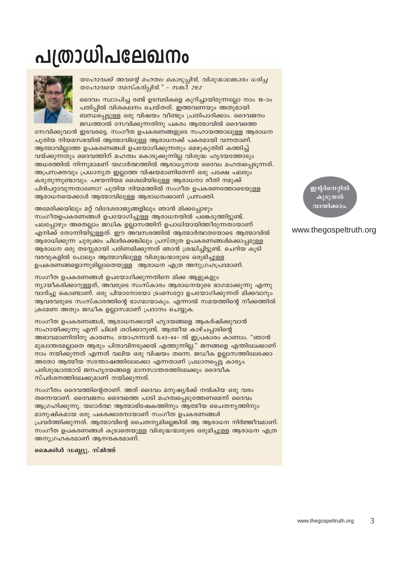# പത്രാധിപലേഖനം



യഹോവക്ക് അവന്റെ മഹത്വം കൊടുപ്പിൻ, വിശുദ്ധാലങ്കാരം ധരിച്ച യഹോവയെ നമസ്കരിപ്പിൻ." - സങ്കി. 29:2

ദൈവം സ്ഥാപിച്ച രണ്ട് ഉടമ്പടികളെ കുറിച്ചായിരുന്നല്ലോ നാം 18-ാം പതിപ്പിൽ വിശകലനം ചെയ്തത്. ഇത്തവണയും അതുമായി ബന്ധപ്പെട്ടുള്ള ഒരു വിഷയം വീണ്ടും പ്രതിപാദിക്കാം. ദൈവജനം ജഡത്താൽ സേവിക്കുന്നതിനു പകരം ആത്മാവിൽ ദൈവത്തെ

സേവിക്കുവാൻ ഇടവരട്ടെ. സംഗീത ഉപകരണങ്ങളുടെ സഹായത്താലുള്ള ആരാധന പുതിയ നിയമസഭയിൽ ആത്മാവിലുള്ള ആരാധനക്ക് പകരമായി വന്നതാണ്. ആത്മാവില്ലാത്ത ഉപകരണങ്ങൾ ഉപയോഗിക്കുന്നതും മെഴുകുതിരി കത്തിച്ച് വയ്ക്കുന്നതും ദൈവത്തിന് മഹത്വം കൊടുക്കുന്നില്ല വിശുദ്ധ ഹൃദയത്തോടും അധരത്തിൽ നിന്നുമാമണ് യഥാർത്ഥത്തിൽ ആരാധ്യനായ ദൈവം മഹത്വപ്പെടുന്നത്. അപ്രസക്തവും പ്രധാനൃത ഇല്ലാത്ത വിഷയമാണിതെന്ന് ഒരു പക്ഷേ പലരും കരുതുന്നുണ്ടാവും. പഴയനിയമ ശൈലിയിലുള്ള ആരാധനാ രീതി നമുക്ക് പിൻപറ്റാവുന്നതാണോ? പുതിയ നിയമത്തിൽ സംഗീത ഉപകരണത്തോടെയുള്ള ആരാധനയെക്കാൾ ആത്മാവിലുള്ള ആരാധനക്കാണ് പ്രസക്തി.

അമേരിക്കയിലും മറ്റ് വിദേശരാജ്യങ്ങളിലും ഞാൻ മിക്കപ്പോഴും സംഗീതഉപകരണങ്ങൾ ഉപയോഗിച്ചുള്ള ആരാധനയിൽ പങ്കെടുത്തിട്ടുണ്ട്. പലപ്പോഴും അതെല്ലാം ജഡിക ഉല്ലാസത്തിന് ഉപാധിയായിത്തീരുന്നതായാണ് .എനിക്ക് തോന്നിയിട്ടുള്ളത്. ഈ അവസരത്തിൽ ആത്മാർത്ഥതയോടെ ആത്മാവിൽ ആരാധിക്കുന്ന ചുരുക്കം ചിലർക്കെങ്കിലും പ്രസ്തുത ഉപകരണങ്ങൾക്കൊപ്പമുള്ള ആരാധന ഒരു തടസ്സമായി പരിണമിക്കുന്നത് ഞാൻ ശ്രദ്ധിച്ചിട്ടുണ്ട്. ചെറിയ കുടി വരവുകളിൽ പോലും ആത്മാവിലുള്ള വിശുദ്ധന്മാരുടെ ഒരുമിച്ചുള്ള ഉപകരണങ്ങളൊന്നുമില്ലാതെയുള്ള ആരാധന എത്ര അനുഗ്രഹപ്രദമാണ്.

സംഗീത ഉപകരണങ്ങൾ ഉപയോഗിക്കുന്നതിനെ മിക്ക ആളുകളും ന്യായീകരിക്കാറുള്ളത്, അവരുടെ സംസ്കാരം ആരാധനയുടെ ഭാഗമാക്കുന്നു എന്നു വാദിച്ചു കൊണ്ടാണ്. ഒരു പിയാനോയോ ട്രംസെറ്റോ ഉപയോഗിക്കുന്നത് മിക്കവാറും ആവരവരുടെ സംസ്കാരത്തിന്റെ ഭാഗമായാകും. എന്നാൽ സമയത്തിന്റെ നീക്കത്തിൽ ക്രമേണ അതും ജഡീക ഉല്ലാസമാണ് പ്രദാനം ചെയ്യുക.

സംഗീത ഉപകരണങ്ങൾ, ആരാധനക്കായി ഹൃദയങ്ങളെ ആകർഷിക്കുവാൻ സഹായിക്കുന്നു എന്ന് ചിലർ ശഠിക്കാറുണ്ട്. ആത്മീയ കാഴ്ചപ്പാടിന്റെ അഭാവമാണിതിനു കാരണം. യോഹന്നാൻ 6:43-44- ൽ ഇപ്രകാരം കാണാം. "ഞാൻ മുഖാന്തരമല്ലാതെ ആരും പിതാവിനടുക്കൽ എത്തുന്നില്ല." ജനങ്ങളെ എന്തിലേക്കാണ് നാം നയിക്കുന്നത് എന്നത് വലിയ ഒരു വിഷയം തന്നെ. ജഡീക ഉല്ലാസത്തിലേക്കോ അതോ ആത്മീയ സന്തോഷത്തിലേക്കോ എന്നതാണ് പ്രധാനപ്പെട്ട കാര്യം. പരിശുദ്ധാത്മാവ് ജനഹൃദയങ്ങളെ മാനസാന്തരത്തിലേക്കും ദൈവീക സ്പർശനത്തിലേക്കുമാണ് നയിക്കുന്നത്.

സംഗീതം ദൈവത്തിന്റെതാണ്. അത് ദൈവം മനുഷ്യർക്ക് നൽകിയ ഒരു വരം തന്നെയാണ്. ദൈവജനം ദൈവത്തെ പാടി മഹത്വപ്പെടുത്തേണമെന്ന് ദൈവം ആഗ്രഹിക്കുന്നു. യഥാർത്ഥ ആത്മാഭിഷേകത്തിനും ആത്മീയ ചൈതനൃത്തിനും മാനുഷികമായ ഒരു പകരക്കാരനായാണ് സംഗീത ഉപകരണങ്ങൾ പ്രവർത്തിക്കുന്നത്. ആത്മാവിന്റെ ചൈതന്യമില്ലെങ്കിൽ ആ ആരാധന നിർജ്ജീവമാണ്. സംഗീത ഉപകരണങ്ങൾ കൂടാതെയുള്ള വിശുദ്ധന്മാരുടെ ഒരുമിച്ചുള്ള ആരാധന എത്ര അനുഗ്രഹകരമാണ് ആനന്ദകരമാണ്.

മൈക്കിൾ ഡബ്ല്യു. സ്മിത്ത്

ഇന്റർനെറ്റിൽ കൂടുതൽ വായിക്കാം

### www.thegospeltruth.org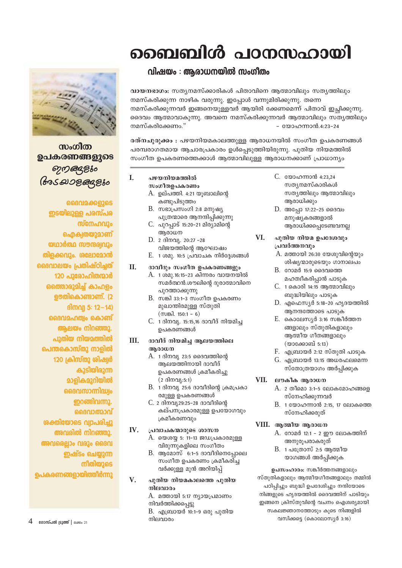# ബൈബിൾ പഠനസഹായി



വായനഭാഗം: സത്യനമസ്ക്കാരികൾ പിതാവിനെ ആത്മാവിലും സത്യത്തിലും നമസ്കരിക്കുന്ന നാഴിക വരുന്നു. ഇപ്പോൾ വന്നുമിരിക്കുന്നു. തന്നെ നമസ്കരിക്കുന്നവർ ഇങ്ങനെയുള്ളവർ ആയിരി ക്കേണമെന്ന് പിതാവ് ഇച്ചിക്കുന്നു. ദൈവം ആത്മാവാകുന്നു. അവനെ നമസ്കരിക്കുന്നവർ ആത്മാവിലും സത്യത്തിലും നമസ്കരിക്കേണം.' - യോഹന്നാൻ.4:23-24

രത്നചുരുക്കം : പഴയനിയമകാലത്തുള്ള ആരാധനയിൽ സംഗീത ഉപകരണങ്ങൾ പരമ്പരാഗതമായ ആചാരപ്രകാരം ഉൾപ്പെടുത്തിയിരുന്നു. പുതിയ നിയമത്തിൽ സംഗീത ഉപകരണത്തെക്കാൾ ആത്മാവിലുള്ള ആരാധനക്കാണ് പ്രാധാന്യം

- I. പഴയനിയമത്തിൽ സംഗീതഉപകരണം
	- A. ഉല്പത്തി. 4:21 യുബാലിന്റെ കണ്ടുപിടുത്തം
	- $B.$  സഭാപ്രസംഗി 2:8 മനുഷ്യ പുത്രന്മാരെ ആനന്ദിപ്പിക്കുന്നു
	- C. പുറപ്പാട് 15:20-21 മിര്യാമിന്റെ ആരാധന
	- D. 2 ദിനവ്യ. 20:27 -28 വിജയത്തിന്റെ അഘോഷം
	- $E.$  1 ശമൂ. 10:5 (പവാചക നിർദേശങ്ങൾ

### II. ദാവീദും സംഗീത ഉപകരണങ്ങളും

- A. 1 ശമു.16:15-23 കിന്നരം വായനയിൽ സമർത്ഥൻ.ശൗലിന്റെ ദുരാത്മാവിനെ പുറത്താക്കുന്നു
- $B.$  സങ്കി 33:1-3 സംഗീത ഉപകരണം മുഖാന്തിരമുള്ള സ്തുതി  $(mB)$ . 150:1 - 6)
- C. 1 ദിനവ്യ. 15:15,16 ദാവീദ് നിയമിച ഉപകരണങ്ങൾ

### III. ദാവീദ് നിയമിച്ച ആലയത്തിലെ അരാധന

- A. 1 ദിനവ്യ 23:5 ദൈവത്തിന്റെ ആലയത്തിനായി ദാവീദ് ഉപകരണങ്ങൾ ക്രമീകരിച്ചു  $(2 \text{ g} \cdot \text{g} \cdot \text{g} \cdot 5:1)$
- B. 1 ദിനവ്യ 25:6 ദാവീദിന്റെ ക്രമപ്രകാ രമുള്ള ഉപകരണങ്ങൾ
- C. 2 ദിനവ്യ29:25-28 ദാവീദിൻെ കല്പനപ്രകാരമുള്ള ഉപയോഗവും ക്രമീകരണവും

#### $IV.$ പ്രവാചകന്മാരുടെ ശാസന

- A. യെശയ്യ 5: 11-13 ജഡപ്രകാരമുള്ള വിരുന്നുകളിലെ സംഗീതം
- $B.$  ആമോസ് 6:1-5 ദാവീദിനെപ്പോലെ സംഗീത ഉപകരണം ക്രമീകരിച്ച വർക്കുള്ള മുൻ അറിയിപ്പ്

### $V_{\cdot}$ പുതിയ നിയമകാലത്തെ പുതിയ നിലവാരം

A. മത്തായി 5:17 ന്യായപ്രമാണം നിവർത്തിക്കപ്പെട്ടു  $B.$  എബ്രായർ 10:1-9 ഒരു പുതിയ നിലവാരം

- C. യോഹന്നാൻ 4:23,24 സതൃനമസ്കാരികൾ സത്യത്തിലും ആത്മാവിലും ആരാധിക്കും
- D. അപ്പോ 17:22-25 ദൈവം മനുഷ്യകരങ്ങളാൽ ആരാധിക്കപ്പെടേണ്ടവനല്ല

### VI. പുതിയ നിയമ ഉപദേശവും പ്രവർത്തനവും

- $A$ . മത്തായി 26:30 യേശുവിന്റെയും ശിഷ്യന്മാരുടെയും ഗാനാലപം
- $B.$  റോമർ 15:9 ദൈവത്തെ മഹത്വീകരിപ്പാൻ പാടുക
- C. 1 കൊരി 14:15 ആത്മാവിലും ബുദ്ധിയിലും പാടുക
- D. എഫെസ്യർ 5:18-20 ഹൃദയത്തിൽ ആനന്ദത്തോടെ പാടുക
- E. കൊലേസ്യർ 3:16 സങ്കീർത്തന ങ്ങളാലും സ്തുതികളാലും ആത്മീയ ഗീതങ്ങളാലും (യാക്കോബ് 5:13)
- F. എബ്രായർ 2:12 സ്തുതി പാടുക
- G. എബ്രായർ 13:15 അധരഫലമെന്ന സ്തോത്രയാഗം അർപ്പിക്കുക

### VII. ലൗകീക ആരാധന

- A. 2 തീമൊ 3:1-5 ലോകമോഹങ്ങളെ സ്നേഹിക്കുന്നവർ
- $B.$  1 യോഹന്നാൻ 2:15, 17 ലോകത്തെ സ്നേഹിക്കരുത്

### VIII. ആത്മീയ ആരാധന

- A. റോമർ 12:1 2 ഈ ലോകത്തിന് അനുരൂപരാകരുത്
- $B.$  1 പത്രോസ് 2:5 ആത്മീയ യാഗങ്ങൾ അർപ്പിക്കുക

ഉപസംഹാരം: സങ്കീർത്തനങ്ങളാലും സ്തുതികളാലും ആത്മീയഗീതങ്ങളാലും തമ്മിൽ പഠിപ്പിച്ചും ബുദ്ധി ഉപദേശിച്ചും നന്ദിയോടെ നിങ്ങളുടെ ഹ്യദയത്തിൽ ദൈവത്തിന് പാടിയും ഇങ്ങനെ ക്രിസ്തുവിന്റെ വചനം ഐശ്വര്യമായി സകലജ്ഞാനത്തോടും കൂടെ നിങ്ങളിൽ വസിക്കട്ടെ (കൊലോസ്യർ $3:16$ )



സംഗീത ഉപകരണങ്ങളുടെ ෨෨෨෫ඁ෪ **Bos 2008 Gaz 860** 

ൈവമക്കളുടെ ഇടയിലുള്ള പരസ്പര ൜ഁനേഹവും ഐക്വതയുമാണ് യഥാർത്ഥ സൗന്ദര്വവും തിളക്കവും. ശലോമോൻ ദൈവാലയം പ്രതിഷ്ഠിച്ചത് 120 പുരോഹിതന്മാർ ഒത്തൊരുമിച്ച് കാഹളം ഊതികൊണ്ടാണ്. (2 ദിനവ്വ 5: 12-14) ദൈവമഹത്വം കൊണ്ട് ആലയം നിറഞ്ഞു. പുതിയ നിയമത്തിൽ പെന്തകൊസ്തു നാളിൽ 120 ക്രിസ്തു ശിഷ്വർ കൂടിയിരുന്ന **മാളികമുറിയിൽ** ദൈവസാന്നിദ്ധ്വം ഇറങ്ങിവന്നു. ൈവാത്മാവ് ശക്തിയോടെ വ്വാപരിച്ചു അവരിൽ നിറഞ്ഞു. അവരെല്ലാം വരും ദൈവ ഇഷ്ടം ചെയ്യുന്ന നീതിയുടെ ഉപകരണങ്ങളായിത്തീർന്നു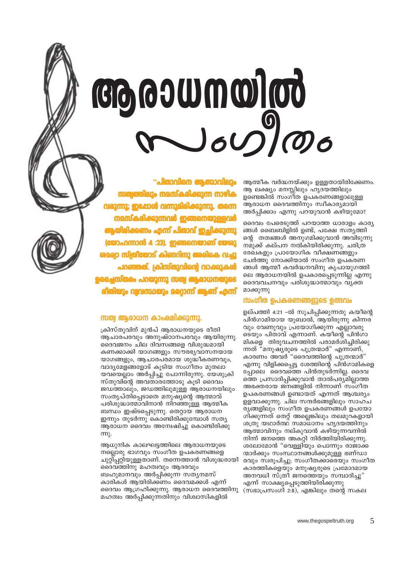# 

ആത്മീക വർദ്ധനയ്ക്കും ഉള്ളതായിരിക്കേണം. ആ ലക്ഷ്യം മനസ്സിലും ഹൃദയത്തിലും ഉണ്ടെങ്കിൽ സംഗീത ഉപകരണങ്ങളാലുള്ള ആരാധന ദൈവത്തിനും സ്വീകാര്യമായി അർപ്പിക്കാം എന്നു പറയുവാൻ കഴിയുമോ?

ദൈവം പേരെടുത്ത് പറയാത്ത ധാരാളം കാര്യ ങ്ങൾ ബൈബിളിൽ ഉണ്ട്, പക്ഷേ സത്യത്തി ന്റെ തത്വങ്ങൾ അനുഗമിക്കുവാൻ അവിടുന്നു നമുക്ക് കല്പന നൽകിയിരിക്കുന്നു. ചരിത്ര രേഖകളും പ്രായോഗിക വീക്ഷണങ്ങളും ചേർത്തു നോക്കിയാൽ സംഗീത ഉപകരണ ങ്ങൾ ആത്മീ കവർദ്ധനവിനു കൃപായുഗത്തി ലെ ആരാധനയിൽ ഉപകാരപ്പെടുന്നില്ല എന്നു ദൈവവചനവും പരിശുദ്ധാത്മാവും വ്യക്ത മാക്കുന്നു

### സംഗീത ഉപകരണങ്ങളുടെ ഉത്ഭവം

ഉല്പത്തി 4:21 –ൽ സൂചിപ്പിക്കുന്നതു കയീന്റെ പിൻഗാമിയായ യുബാൽ, ആയിരുന്നു കിന്നര വും വേണുവും പ്രയോഗിക്കുന്ന എല്ലാവരു ടെയും പിതാവ് എന്നാണ്. കയീന്റെ പിൻഗാ മികളെ തിരുവചനത്തിൽ പരാമർശിച്ചിരിക്കു ന്നത് "മനുഷ്യരുടെ പുത്രന്മാർ" എന്നാണ്, കാരണം അവർ "ദൈവത്തിന്റെ പുത്രന്മാർ" എന്നു വിളിക്കപ്പെട്ട ശേത്തിന്റെ പിൻഗാമികളെ പ്പോലെ ദൈവത്തെ പിൻതുടർന്നില്ല. ദൈവ ത്തെ പ്രസാദിപ്പിക്കുവാൻ താൽപര്യ്മില്ലാത്ത അഭക്തരായ ജനങ്ങളിൽ നിന്നാണ് സംഗീത ഉപകരണങ്ങൾ ഉണ്ടായത് എന്നത് ആശ്ചര്യം ഉളവാക്കുന്നു. ചില സന്ദർഭങ്ങളിലും സാഹച ര്യങ്ങളിലും സംഗീത ഉപകരണങ്ങൾ ഉപയോ ഗിക്കുന്നത് തെറ്റ് അല്ലെങ്കിലും തലമുറകളായി ശത്രു യഥാർത്ഥ സമാധാനം ഹൃദയത്തിനും ആത്മാവിനും നല്കുവാൻ കഴിയുന്നവനിൽ നിന്ന് ജനത്തെ അകറ്റി നിർത്തിയിരിക്കുന്നു. ശലോമോൻ "വെള്ളിയും പൊന്നും രാജാക്ക ന്മാർക്കും സംസ്ഥാനങ്ങൾക്കുമുള്ള ഭണ്ഡാ രവും സ്വരൂപിച്ചു; സംഗീതക്കാരെയും സംഗീത കാരത്തികളെയും മനുഷ്യരുടെ പ്രമോദമായ അനവധി സ്ത്രീ ജനത്തെയും സമ്പാദിച്ചു" എന്ന് സാക്ഷ്യപ്പെടുത്തിയിരിക്കുന്നു (സഭാപ്രസംഗി 2:8), എങ്കിലും തന്റെ സകല

### സത്വ ആരാധന കാംക്ഷിക്കുന്നു.

ക്രിസ്തുവിന് മുൻപ് ആരാധനയുടെ രീതി അചാരപരവും അനുഷ്ഠാനപരവും അയിരുന്നു. ദൈവജനം ചില ദിവസങ്ങളെ വിശുദ്ധമായി കണക്കാക്കി യാഗങ്ങളും സൗരഭ്യവാസനയായ യാഗങ്ങളും, ആചാരപരമായ ശുദ്ധീകരണവും, വാദ്യമേളങ്ങളോട് കുടിയ സംഗീതം മുതലാ യവയെല്ലാം അർപ്പിച്ചു പോന്നിരുന്നു. യേശുക്രി സ്തുവിന്റെ അവതാരത്തോടു കൂടി ദൈവം ജഡത്താലും, ജഡത്തിലുമുള്ള ആരാധനയിലും സംതൃപ്തിപ്പെടാതെ മനുഷ്യന്റെ ആത്മാവ് പരിശുദ്ധാത്മാവിനാൻ നിറഞ്ഞുള്ള ആത്മീക ബന്ധം ഇഷ്ടപ്പെടുന്നു. തെറ്റായ ആരാധന ഇന്നും തുടർന്നു കൊണ്ടിരിക്കുമ്പോൾ സത്യ ആരാധന ദൈവം അന്വേഷിച്ചു കൊണ്ടിരിക്കു m.

ആധുനിക കാലഘട്ടത്തിലെ ആരാധനയുടെ നല്ലൊരു ഭാഗവും സംഗീത ഉപകരണങ്ങളെ ചുറ്റിപ്പറ്റിയുള്ളതാണ്. തന്നെത്താൻ വിശുദ്ധരായി ദൈവത്തിനു മഹത്വവും ആദരവും ബഹുമാനവും അർപ്പിക്കുന്ന സതൃനമസ് കാരികൾ ആയിരിക്കണം ദൈവമക്കൾ എന്ന് ദൈവം ആഗ്രഹിക്കുന്നു. ആരാധന ദൈവത്തിനു മഹത്വം അർപ്പിക്കുന്നതിനും വിശ്വാസികളിൽ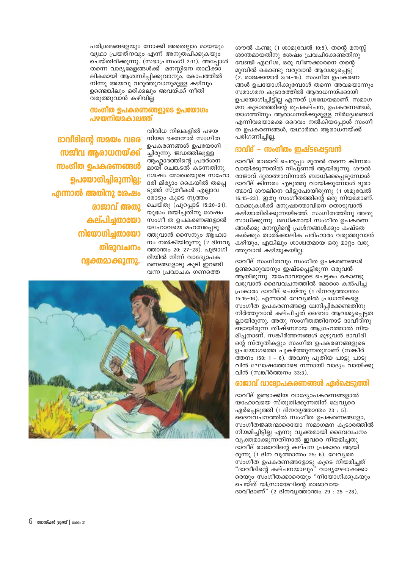പരിശ്രമങ്ങളെയും നോക്കി അതെല്ലാം മായയും വൃഥാ പ്രയത്നവും എന്ന് അനുത്പിക്കുകയും ചെയ്തിരിക്കുന്നു. (സഭാപ്രസംഗി 2:11). അപ്പോൾ തന്നെ വാദ്യമേളങ്ങൾക്ക് മനസ്സിനെ താല്ക്കാ ലികമായി ആശ്വസിപ്പിക്കുവാനും, കോപത്തിൽ നിന്നു അയവു വരുത്തുവാനുമുള്ള കഴിവും ഉണ്ടെങ്കിലും ഒരിക്കലും അവയ്ക്ക് നീതി വരുത്തുവാൻ കഴിവില

### സംഗീത ഉപകരണങ്ങളുടെ ഉപയോഗം പഴയനിയമകാലത്ത്

ദാവിദിന്റെ സമയം വരെ സജീവ ആരാധനയ്ക്ക് സംഗീത ഉപകരണങ്ങൾ ഉപയോഗിച്ചിരുന്നില്ല; എന്നാൽ അതിനു ശേഷം രാജാവ് അതു കല്പിച്ചതായോ നിയോഗിചതായോ തിരാവചനം വ്വക്തമാക്കുന്നു.

വിവിധ നിലകളിൽ പഴയ നിയമ ഭക്തന്മാർ സംഗീത ഉപകരണങ്ങൾ ഉപയോഗി ച്ചിരുന്നു. ജഡത്തിലുള്ള ആഹാദത്തിന്റെ പ്രദർശന മായി ചെങ്കടൽ കടന്നതിനു ശേഷം മോശെയുടെ സഹോ ദരി മിര്യാം കൈയിൽ തപ്പെ ടുത്ത് സ്ത്രീകൾ എല്ലാവ രോടും കുടെ നൃത്തം ചെയ്തു (പുറപ്പാട് 15:20-21). യുദ്ധം ജയിച്ചതിനു ശേഷം സംഗീ ത ഉപകരണങ്ങളാൽ യഹോവയെ മഹത്വപ്പെടു ത്തുവാൻ സൈന്യം ആഹ്വാ നം നൽകിയിരുന്നു (2 ദിനവൃ ത്താന്തം 20: 27-28). പുജാഗി രിയിൽ നിന്ന് വാദ്യോപക രണങ്ങളോടു കൂടി ഇറങ്ങി വന്ന പ്രവാചക ഗണത്തെ



ശൗൽ കണ്ടു (1 ശാമുവേൽ 10:5). തന്റെ മനസ്സ് ശാന്തമായതിനു ശേഷം പ്രവചിക്കേണ്ടതിനു വേണ്ടി എലീശ, ഒരു വീണക്കാരനെ തന്റെ മുമ്പിൽ കൊണ്ടു വരുവാൻ ആവശ്യപ്പെട്ടു  $(2.$  രാജക്കന്മാർ 3:14-15). സംഗീത ഉപകരണ ങ്ങൾ ഉപയോഗിക്കുമ്പോൾ തന്നെ അവയൊന്നും സമാഗമന കൂടാരത്തിൽ ആരാധനയ്ക്കായി ഉപയോഗിച്ചിട്ടില്ല എന്നത് ശ്രദ്ധേയമാണ്. സമാഗ മന കൂടാരത്തിന്റെ രൂപകല്പന, ഉപകരണങ്ങൾ, യാഗത്തിനും ആരാധനയ്ക്കുമുള്ള നിർദ്ദേശങ്ങൾ എന്നിവയൊക്കെ ദൈവം നൽകിയപ്പോൾ സംഗീ ത ഉപകരണങ്ങൾ, യഥാർത്ഥ ആരാധനയ്ക്ക് പരിഗണിച്ചില്ല.

### ദാവിദ് – സംഗീതം ഇഷ്ടപ്പെടവൻ

ദാവീദ് രാജാവ് ചെറുപ്പം മുതൽ തന്നെ കിന്നരം വായിക്കുന്നതിൽ നിപുണൻ ആയിരുന്നു. ശൗൽ രാജാവ് ദുരാത്മാവിനാൽ ബാധിക്കപ്പെടുമ്പോൾ ദാവീദ് കിന്നരം എടുത്തു വായിക്കുമ്പോൾ ദുരാ ത്മാവ് ശൗലിനെ വിട്ടുപോയിരുന്നു (1 ശമുവേൽ 16:15–23). ഇതു സംഗീതത്തിന്റെ ഒരു നിയമമാണ്. വാക്കുകൾക്ക് മനുഷാത്മാവിനെ തൊടുവാൻ കഴിയാതിരിക്കുന്നയിടത്ത്. സംഗീതത്തിനു അതു സാധിക്കുന്നു. ജഡികമായി സംഗീത ഉപകരണ ങ്ങൾക്കു മനസ്സിന്റെ പ്രശ്നങ്ങൾക്കും കഷ്ടത കൾക്കും താൽ്ക്കാലിക പരിഹാരം വരുത്തുവാൻ കഴിയും, എങ്കിലും ശാശ്വതമായ ഒരു മാറ്റം വരു ത്തുവാൻ കഴിയുകയില്ല.

ദാവീദ് സംഗീതവും സംഗീത ഉപകരണങ്ങൾ ഉണ്ടാക്കുവാനും ഇഷ്ടപ്പെട്ടിരുന്ന ഒരുവൻ ആയിരുന്നു. യഹോവയുടെ പെട്ടകം കൊണ്ടു വരുവാൻ ദൈവവചനത്തിൽ മോശെ കൽപിച്ച പ്രകാരം ദാവീദ് ചെയ്തു (1 ദിനവൃത്താന്തം 15:15-16). എന്നാൽ ലേവ്യരിൽ പ്രധാനികളെ സംഗീത ഉപകരണങ്ങളെ ധ്വനിപ്പിക്കേണ്ടതിനു നിർത്തുവാൻ കല്പിച്ചത് ദൈവം ആവശ്യപ്പെട്ടത ല്ലായിരുന്നു. അതു സംഗീതത്തിനോട് ദാവീദിനു ണ്ടായിരുന്ന തീഷ്ണമായ ആഗ്രഹത്താൽ നിയ മിച്ചതാണ്. സങ്കീർത്തനങ്ങൾ മുഴുവൻ ദാവീദി ന്റെ സ്തുതികളും സംഗീത ഉപകരണങ്ങളുടെ ഉപ്യോഗത്തെ പുകഴ്ത്തുന്നതുമാണ് (സങ്കീർ ത്തനം 150: 1 - 6). അവനു പുതിയ പാട്ടു പാടു വിൻ ഘോഷത്തോടെ നന്നായി വാദ്യം വായിക്കു വിൻ (സങ്കീർത്തനം  $33:3$ ).

### രാജാവ് വാദ്വോപകരണങ്ങൾ ഏർപ്പെടുത്തി

ദാവീദ് ഉണ്ടാക്കിയ വാദ്യോപകരണങ്ങളാൽ യഹോവയെ സ്തുതിക്കുന്നതിന് ലേവ്യരെ ഏർപ്പെടുത്തി (1 ദിനവൃത്താന്തം 23 : 5). ദൈവവചനത്തിൽ സംഗീത ഉപകരണങ്ങളോ, സംഗീതജ്ഞന്മാരെയോ സമാഗമന കൂടാരത്തിൽ നിയമിച്ചിട്ടില്ല എന്നു വ്യക്തമായി ദൈവവചനം വൃക്തമാക്കുന്നതിനാൽ ഇവരെ നിയമിച്ചതു ദാവീദ് രാജാവിന്റെ കല്പന പ്രകാരം ആയി രുന്നു (1 ദിന വൃത്താന്തം 25: 6). ലേവ്യരെ സംഗീത ഉപകരണങ്ങളോടു കൂടെ നിയമിച്ചത് "ദാവീദിന്റെ കല്പനയാലും" വാദൃഘോഷക്കാ രെയും സംഗീതക്കാരെയും "നിയോഗിക്കുകയും ചെയ്ത് യിസ്രായേലിന്റെ രാജാവായ ദാവീദാണ്" (2 ദിനവൃത്താന്തം 29 : 25 -28).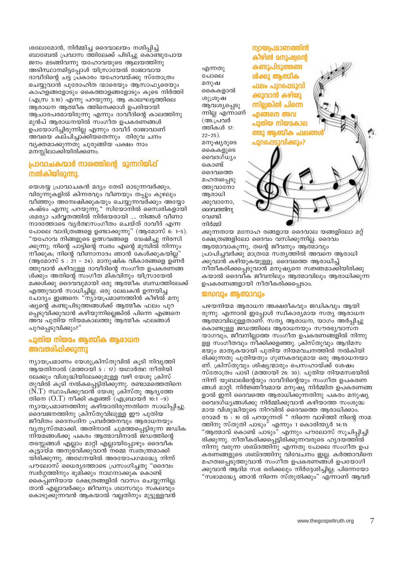ശലോമോൻ, നിർമ്മിച്ച ദൈവാലയം നശിപ്പിച്ച് ബാബേൽ പ്രവാസ ത്തിലേക്ക് പിടിച്ചു കൊണ്ടുപോയ ജനം മടങ്ങിവന്നു യഹോവയുടെ ആലയത്തിനു അടിസ്ഥാനമിട്ടപ്പോൾ യിസ്രായേൽ രാജാവായ ദാവീദിന്റെ ചട്ട പ്രകാരം യഹോവയ്ക്കു സ്തോത്രം ചെയ്യുവാൻ പുരോഹിത ന്മാരെയും ആസാഫ്യരെയും കാഹളങ്ങളോടും കൈത്താളങ്ങളോടും കൂടെ നിർത്തി (എസ്ര 3:10) എന്നു പറയുന്നു. ആ കാലഘട്ടത്തിലെ ആരാധന ആത്മീക ത്തിനെക്കാൾ ഉപരിയായി ആചാരപരമായിരുന്നു എന്നും ദാവീദിന്റെ കാലത്തിനു മുൻപ് ആരാധനയിൽ സംഗീത ഉപകരണങ്ങൾ ഉപയോഗിച്ചിരുന്നില്ല എന്നും ദാവീദ് രാജാവാണ് അവയെ കല്പിച്ചാക്കിയതെന്നും തിരുവ ചനം വൃക്തമാക്കുന്നതു ചുരുങ്ങിയ പക്ഷം നാം മനസ്സിലാക്കിയിരിക്കണം.

### പ്രാവാചകന്മാർ നാരത്തിന്റെ മുന്നറിയിപ്പ് നൽകിയിരുന്നു.

യെശയ്യ പ്രാവാചകൻ മദ്യം തേടി ഓടുന്നവർക്കും, വിരുന്നുകളിൽ കിന്നരവും വീണയും തപ്പും കുഴലും വീഞ്ഞും അന്വേഷിക്കുകയും ചെയ്യുന്നവർക്കും അയ്യോ കഷ്ടം എന്നു പറയുന്നു." സിയോനിൽ സൈ്വരികളായി ശമര്യാ പർവ്വതത്തിൽ നിർഭയരായി .... നിങ്ങൾ വീണാ നാദത്തോടെ വൃർത്ഥസംഗീതം ചെയ്ത് ദാവീദ് എന്ന പോലെ വാദിത്രങ്ങളെ ഉണ്ടാക്കുന്നു" (ആമോസ് 6: 1-5). "യഹോവ നിങ്ങളുടെ ഉത്സവങ്ങളെ ദ്വേഷിച്ചു നിരസി ക്കുന്നു; നിന്റെ പാട്ടിന്റെ സ്വരം എന്റെ മുമ്പിൽ നിന്നും നീക്കുക, നിന്റെ വീണാനാദം ഞാൻ്കേൾക്കുകയില്ല (ആമോസ് 5 : 21 - 24). മാനുഷിക വികാരങ്ങളെ ഉണർ ത്തുവാൻ കഴിവുള്ള ദാവീദിന്റെ സംഗീത ഉപകരണങ്ങ ൾക്കും അതിന്റെ സംഗീത മികവിനും യിസ്രായേൽ മക്കൾക്കു ദൈവവുമായി ഒരു ആത്മീക ബന്ധത്തിലേക്ക് എത്തുവാൻ സാധിച്ചില്ല. ഒരു ലേഖകൻ ഉന്നയിച്ച ചോദ്യം ഇങ്ങനെ: "ന്യായപ്രമാണത്തിൻ കീഴിൽ മനു ഷ്യന്റെ കണ്ടുപിടുത്തങ്ങൾക്ക് ആത്മീക ഫലം പുറ പ്പെടുവിക്കുവാൻ കഴിയുന്നില്ലെങ്കിൽ പിന്നെ എങ്ങനെ അവ പുതിയ നിയമകാലത്തു ആത്മീക ഫലങ്ങൾ പുറപ്പെടുവിക്കും?"

### പുതിയ നിയമം ആത്മീക ആരാധന അവതരിപ്പിക്കുന്നു

ന്യായപ്രമാണം യേശുക്രിസ്തുവിൽ കൂടി നിവൃത്തി ആയതിനാൽ (മത്തായി  $5:17)$  യഥാർത്ഥ നീതിയി ലേക്കും വിശുദ്ധിയിലേക്കുമുള്ള വഴി യേശു ക്രിസ് തുവിൽ കൂടി നൽകപ്പെട്ടിരിക്കുന്നു. രണ്ടാമത്തെതിനെ  $(N.T)$  സ്ഥാപിക്കുവാൻ യേശു ക്രിസ്തു ആദ്യത്തേ തിനെ  $(O,T)$  നീക്കി കളഞ്ഞ് (എബ്രായർ 10:1 –9) ന്യായപ്രമാണത്തിനു കഴിയാതിരുന്നതിനെ സാധിപ്പിച്ചു. ദൈവജനത്തിനു ക്രിസ്തുവിലുള്ള ഈ പുതിയ ജീവിതം ദൈനംദിന പ്രവർത്തനവും ആരാധനയും വ്യത്യസ്തമാക്കി. അതിനാൽ ചുമത്തപ്പെട്ടിരുന്ന ജഡിക നിയമങ്ങൾക്കു പകരം ആത്മാവിനാൽ ജഡത്തിന്റെ തടസ്സങ്ങൾ എല്ലാം മാറ്റി എല്ലായിപ്പോഴും ദൈവീക് കൂട്ടായ്മ അനുഭ്വിക്കുവാൻ നമ്മെ സ്വതന്ത്രമാക്കി യിരിക്കുന്നു. അഥേനയിൽ അരയോപഗമദ്ധ്യേ നിന്ന് പൗലോസ് ധൈര്യത്തോടെ പ്രസംഗിച്ചതു "ദൈവം സ്വർഗ്ഗത്തിനും ഭൂമിക്കും നാഥനാക്കുക കൊണ്ട് കൈപ്പണിയായ ക്ഷേത്രങ്ങളിൽ വാസം ചെയ്യുന്നില്ല. താൻ എല്ലാവർക്കും ജീവനും ശ്വാസവും സകലവും കൊടുക്കുന്നവൻ ആകയാൽ വല്ലതിനും മുട്ടുള്ളവൻ

എന്നതു പോലെ മനുഷ കൈകളാൽ ശുശ്രുഷ ആവശ്യപ്പെടു ന്നില്ല എന്നാണ് (അ.പ്രവർ ത്തികൾ 17:  $22 - 25$ ). മനുഷ്യരുടെ കൈകളുടെ മൈദഗ്ധ്യം കൊണ്ട് ദൈവത്തെ മഹത്വപ്പെടു ത്തുവാനോ ആരാധി ക്കുവാനോ, ദൈവത്തിനു വേണ്ടി നിർമ്മി

ന്വായപ്രമാണത്തിൻ കീഴിൽ മനുഷ്വന്റെ കണ്ടുപിടുത്തങ്ങ ൾക്കു ആത്മിക ഫലം പുറപ്പെടുവി ക്കുവാൻ കഴിയു ന്നില്ലങ്കിൽ പിന്നെ  $\alpha$ പുതിയ നിയമകാല ത്തു ആത്മീക ഫലങ പുറപ്പെടുവിക്കും?

ക്കുന്നതായ മനോഹ രങ്ങളായ ദൈവാല യങ്ങളിലോ മറ്റ് ക്ഷേത്രങ്ങളിലോ ദൈവം വസിക്കുന്നില്ല. ദൈവം ആത്മാവാകുന്നു, തന്റെ ജീവനും ആത്മാവും പ്രാപിച്ചവർക്കു മാത്രമേ സത്യത്തിൽ അവനെ ആരാധി ക്കുവാൻ കഴിയുകയുള്ളൂ. ദൈവത്തെ ആരാധിച്ച് നീതീകരിക്കപ്പെടുവാൻ മനുഷ്യനെ സജ്ഞമാക്കിയിരിക്കു കയാൽ ദൈവിക ജീവനിലും ആത്മാവിലും ആരാധിക്കുന്ന ഉപകരണങ്ങളായി നീതീകരിക്കപ്പെടാം.

### ജഡവും ആത്മാവും

പഴയനിയമ ആരാധന അക്ഷരീകവും ജഡികവും ആയി രുന്നു. എന്നാൽ ഇപ്പോൾ സ്ഥീകാര്യമായ സത്യ ആരാധന ആത്മാവിലുള്ളതാണ്. സത്യ ആരാധന, യാഗം അർപ്പിച്ചു കൊണ്ടുള്ള ജഡത്തിലെ ആരാധനയും സൗരഭ്യവാസ്ന യാഗവും, ജീവനില്ലാത്ത സംഗീത ഉപകരണങ്ങളിൽ നിന്നു ളള സംഗീതവും നീക്കിക്കളഞ്ഞു. ക്രിസ്തുവും ആദിമസ ഭയും മാതൃകയായി പുതിയ നിയമവചനത്തിൽ നൽകിയി രിക്കുന്നതു പുതിയതും ഗുണകരവുമായ ഒരു ആരാധനയാ ണ്. ക്രിസ്തുവും ശിഷ്യന്മാരും പെസഹായ്ക്ക് ശേഷം സ്തോത്രം പാടി (മത്തായി 26: 30). പുതിയ നിയമസഭയിൽ നിന്ന് യൂബാലിന്റെയും ദാവീദിന്റെയും സംഗീത ഉപകരണ ങ്ങൾ മാറ്റി. നിർജ്ഞീവമായ മനുഷ്യ നിർമ്മിത ഉപകരണങ്ങ ളാൽ ഇനി ദൈവത്തെ ആരാധിക്കുന്നതിനു പകരം മനുഷ്യ വൈദഗ്ധ്യങ്ങൾക്കു നിർമ്മിക്കുവാൻ കഴിയാത്ത സംശുദ്ധ മായ വിശുദ്ധിയുടെ നിറവിൽ ദൈവത്തെ ആരാധിക്കാം. റോമർ 15 : 10 ൽ പറയുന്നത് " നിന്നെ വാഴ്ത്തി നിന്റെ നാമ ത്തിനു സ്തുതി പാടും" എന്നും 1 കൊരിന്ത്യർ 14:15 "ആത്മാവ് കൊണ്ട് പാടും" എന്നും പൗലോസ് സൂചിപ്പിച്ചി രിക്കുന്നു. നീതീകരിക്കപ്പെട്ടിരിക്കുന്നവരുടെ ഹൃദയത്തിൽ നിന്നു വരുന്ന ശബ്ദത്തിനു എന്നതു പോലെ സംഗീത ഉപ കരണങ്ങളുടെ ശബ്ദത്തിനു വിവേചനം ഇല്ല. കർത്താവിനെ മഹത്വപ്പെടുത്തുവാൻ സംഗീത ഉപകരണങ്ങ്ൾ ഉപയോഗി ക്കുവാൻ ആദിമ സഭ ഒരിക്കലും നിർദ്ദേശിച്ചില്ല; പിന്നെയോ "സഭാമദ്ധ്യേ ഞാൻ നിന്നെ സ്തുതിക്കും" എന്നാണ് ആവർ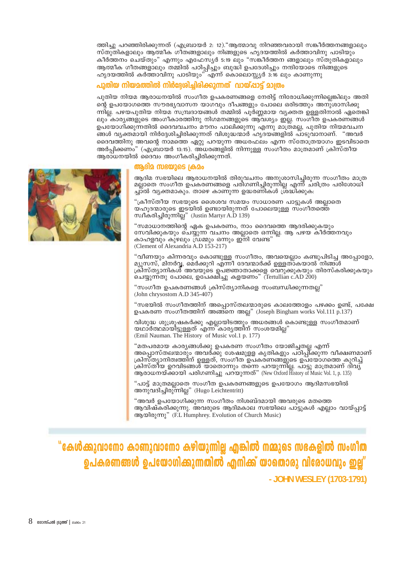ത്തിച്ചു പറഞ്ഞിരിക്കുന്നത് (എബ്രായർ 2: 12)."ആത്മാവു നിറഞ്ഞവരായി സങ്കീർത്തനങ്ങളാലും സ്തുതികളാലും ആത്മീക ഗീതങ്ങളാലും നിങ്ങളുടെ ഹൃദയത്തിൽ കർത്താവിനു പാടിയും കീർത്തനം ചെയ്തും" എന്നും എഫേസ്യർ 5:19 ലും "സങ്കീർത്തന ങ്ങളാലും സ്തുതികളാലും ആത്മീക ഗീതങ്ങളാലും തമ്മിൽ പഠിപ്പിച്ചും ബുദ്ധി ഉപദേശിച്ചും നന്ദിയോടെ നിങ്ങളുടെ ഹൃദയത്തിൽ കർത്താവിനു പാടിയും" എന്ന് കൊലൊസ്സ്യർ 3:16 ലും കാണുന്നു

### പുതിയ നിയമത്തിൽ നിർദേശിച്ചിരിക്കുന്നത് വായ്പ്പാട്ട് മാത്രം

പുതിയ നിയമ ആരാധനയിൽ സംഗീത ഉപകരണങ്ങളെ നേരിട്ട് നിരോധിക്കുന്നില്ലെങ്കിലും അതി ന്റെ ഉപയോഗത്തെ സൗരഭ്യവാസന യാഗവും ദീപങ്ങളും പോലെ ഒരിടത്തും അനുശാസിക്കു ന്നില്ല. പഴയപുതിയ നിയമ സമ്പ്രദായങ്ങൾ തമ്മിൽ പൂർണ്ണമായ വ്യക്തത ഉള്ളതിനാൽ ഏതെങ്കി ലും കാരൃങ്ങളുടെ അംഗീകാരത്തിനു നിഗമനങ്ങളുടെ ആവശ്യം ഇല്ല. സംഗീത ഉപകരണങ്ങൾ ഉപയോഗിക്കുന്നതിൽ ദൈവവചനം മൗനം പാലിക്കുന്നു എന്നു മാത്രമല്ല, പുതിയ നിയമവചന ങ്ങൾ വ്യക്തമായി നിർദ്ദേശിച്ചിരിക്കുന്നത് വിശുദ്ധന്മാർ ഹ്യദയങ്ങളിൽ പാടുവാനാണ്. "അവർ ദൈവത്തിനു അവന്റെ നാമത്തെ ഏറ്റു പറയുന്ന അധരഫലം എന്ന സ്തോത്രയാഗം ഇടവിടാതെ അർപ്പിക്കണം" (എബ്രായർ 13:15). അധരങ്ങളിൽ നിന്നുള്ള സംഗീതം മാത്രമാണ് ക്രിസ്തീയ ആരാധനയിൽ ദൈവം അംഗീകരിച്ചിരിക്കുന്നത്.

### ആദിമ സഭയുടെ ക്രമം

ആദിമ സഭയിലെ ആരാധനയിൽ തിരുവചനം അനുശാസിച്ചിരുന്ന സംഗീതം മാത്ര മല്ലാതെ സംഗീത ഉപകരണങ്ങളെ പരിഗണിച്ചിരുന്നില്ല എന്ന് ചരിത്രം പരിശോധി ച്ചാൽ വൃക്തമാകും. താഴെ കാണുന്ന ഉദ്ധരണികൾ ശ്രദ്ധിക്കുക:

"ക്രീസ്തീയ സഭയുടെ ശൈശവ സമയം സാധാരണ പാട്ടുകൾ അല്ലാതെ യഹൂദന്മാരുടെ ഇടയിൽ ഉണ്ടായിരുന്നത് പോലെയുള്ള സംഗീതത്തെ സ്വീകരിച്ചിരുന്നില്ല" (Justin Martyr A.D 139)

"സമാധാനത്തിന്റെ ഏക ഉപകരണം, നാം ദൈവത്തെ ആദരിക്കുകയും സേവിക്കുകയും ചെയ്യുന്ന വചനം അല്ലാതെ ഒന്നില്ല. ആ പഴയ കീർത്തനവും കാഹളവും കുഴലും ഡ്രമ്മും ഒന്നും ഇനി വേണ്ട" (Clement of Alexandria A.D 153-217)

"വീണയും കിന്നരവും കൊണ്ടുള്ള സംഗീതം, അവയെല്ലാം കണ്ടുപിടിച്ച അപ്പോളോ, മ്യൂസസ്, മിനർവ്വ, മെർക്കുറി എന്നീ ദേവന്മാർക്ക് ഉള്ളത്ാകയാൽ നിങ്ങൾ ക്രീസ്ത്യാനികൾ അവയുടെ ഉപജ്ഞാതാക്കളെ വെറുക്കുകയും തിരസ്കരിക്കുകയും ചെയ്യുന്ന്തു പോലെ, ഉപേക്ഷിച്ചു കളയണം" (Tertullian c.AD 200)

"സംഗീത ഉപകരണങ്ങൾ ക്രിസ്ത്യാനികളെ സംബന്ധിക്കുന്നതല്ല" (John chrysostom A.D 345-407)

"സഭയിൽ സംഗീതത്തിന് അപ്പൊസ്തലന്മാരുടെ കാലത്തോളം പഴക്കം ഉണ്ട്, പക്ഷേ ഉപകരണ സംഗീതത്തിന് അങ്ങനെ അല്ല" (Joseph Bingham works Vol.111 p.137)

വിശുദ്ധ ശുശ്രൂഷകർക്കു എല്ലായിടത്തും അധരങ്ങൾ കൊണ്ടുള്ള സംഗീതമാണ് യഥാർത്ഥമായിട്ടുള്ളത് എന്ന്കാര്യത്തിന് സംശയമില" (Emil Nauman. The History of Music vol.1 p. 177)

"മതപരമായ കാര്യങ്ങൾക്കു ഉപകരണ സംഗീതം യോജിച്ചതല്ല എന്ന് അപ്പൊസ്തലന്മാരും അവർക്കു ശേഷമുളള കൃതികളും പഠിപ്പീ്ക്കുന്ന വീക്ഷണമാണ് ക്രിസ്ത്യാനിത്വത്തിന് ഉള്ളത്, സംഗീത ഉപകര്ണങ്ങളുടെ ഉപയോഗത്തെ കുറിച്ച് ക്രിസ്തീയ ഉറവിടങ്ങൾ യാതൊന്നും തന്നെ പറയുന്നില്ല. പാട്ടു മാത്രമാണ് ദിവ്യ ആരാധനയ്ക്കായി പരിഗണിച്ചു പറ്യുന്നത്" (New Oxford History of Music Vol. 1, p. 135)

"പാട്ട് മാത്രമല്ലാതെ സംഗീത ഉപകരണങ്ങളുടെ ഉപയോഗം ആദിമസഭയിൽ അനുവദിച്ചിരു്ന്നില്ല" (Hugo Leichtentritt)

"അവർ ഉപയോഗിക്കുന്ന സംഗീതം നിശബ്ദമായി അവരുടെ മതത്തെ ആവിഷ്കരിക്കുന്നു. അവരുടെ ആദിമകാല സഭയിലെ പാട്ടുകൾ എല്ലാം വായ്പ്പാട്ട് στος στουλογίας (F.L Humphrey, Evolution of Church Music)

"കേൾക്കുവാനോ കാണുവാനോ കഴിയുന്നില്ല എങ്കിൽ നമ്മുടെ സഭകളിൽ സംഗീത ഉപകരണങ്ങൾ ഉപയോഗിക്കുന്നതിൽ എനിക്ക് യാതൊരു വിരോധവും ഇല്ല് - JOHN WESLEY (1703-1791)

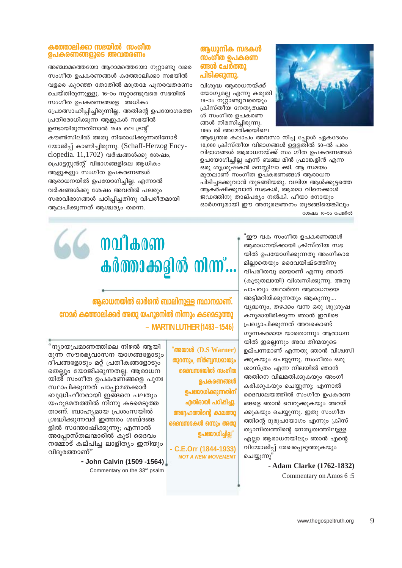### കത്തോലിക്കാ സഭയിൽ സംഗീത ഉപകരണങ്ങളുടെ അവതരണം

അഞ്ചാമത്തെയോ ആറാമത്തെയോ നുറ്റാണ്ടു വരെ സംഗീത ഉപകരണങ്ങൾ കത്തോലിക്കാ സഭയിൽ വളരെ കുറഞ്ഞ തോതിൽ മാത്രമേ പുനരവതരണം ചെയ്തിരുന്നുള്ളു. 16–ാം നൂറ്റാണ്ടുവരെ സഭയിൽ സംഗീത ഉപകരണങ്ങളെ അധികം പ്രോത്സാഹിപ്പിച്ചിരുന്നില്ല. അതിന്റെ ഉപയോഗത്തെ പ്രതിരോധിക്കുന്ന ആളുകൾ സഭയിൽ ഉണ്ടായിരുന്നതിനാൽ 1545 ലെ ട്രന്റ് കൗൺസിലിൽ അതു നിരോധിക്കുന്നതിനോട് യോജിപ്പ് കാണിച്ചിരുന്നു. (Schaff-Herzog Encyclopedia. 11,1702) വർഷങ്ങൾക്കു ശേഷം, പ്രൊട്ടസ്റ്റൻന്റ് വിഭാഗങ്ങളിലെ ആധികം ആളുകളും സംഗീത ഉപകരണങ്ങൾ ആരാധനയിൽ ഉപയോഗിച്ചില്ല. എന്നാൽ വർഷങ്ങൾക്കു ശേഷം അവരിൽ പലരും സഭാവിഭാഗങ്ങൾ പഠിപ്പിച്ചതിനു വിപരീതമായി ആലപിക്കുന്നത് ആശ്ചര്യം തന്നെ.

### ആധുനിക സഭകൾ സംഗീത ഉപകരണ ങ്ങൾ ചേർത്തു പിടിക്കുന്നു.

വിശുദ്ധ ആരാധനയ്ക്ക് യോഗ്യമല്ല എന്നു കരുതി 19–ാം നൂറ്റണ്ടുവരെയും ക്രിസ്തീയ നേതൃത്വങ്ങ ൾ സംഗീത ഉപകരണ ങ്ങൾ നിരസിച്ചിരുന്നു. 1865 ൽ അമേരിക്കയിലെ



മുതലാണ് സംഗീത ഉപ്കരണങ്ങൾ ആരാധന പിടിച്ചടക്കുവാൻ തുടങ്ങിയതു. വലിയ ആൾക്കുട്ടത്തെ ആകർഷിക്കുവാൻ സഭകൾ, ആത്മാ വിനെക്കാൾ ജഡത്തിനു താല്പര്യം നൽകി. പീയാ നോയും ഓർഗനുമായി ഈ അനുരജ്ഞനം തുടങ്ങിയെങ്കിലും

ശേഷം 10-ാം പേജിൽ

'ഈ വക സംഗീത ഉപകരണങ്ങൾ ആരാധനയ്ക്കായി ക്രിസ്തീയ സഭ യിൽ ഉപയോഗിക്കുന്നതു അംഗീകാര മിലാതെയും ദൈവയിഷ്ടത്തിനു വിപരീതവു മായാണ് എന്നു ഞാൻ (കൂടുതലായി) വിശ്വസിക്കുന്നു. അതു പാപവും യഥാർത്ഥ ആരാധനയെ അട്ടിമറിയ്ക്കുന്നതും ആകുന്നു.... വൃദ്ധനും, തഴക്കം വന്ന ഒരു ശുശ്രുഷ കനുമായിരിക്കുന്ന ഞാൻ ഇവിടെ പ്രഖ്യാപിക്കുന്നത് അവകൊണ്ട് ഗുണകരമായ യാതൊന്നും ആരാധന യിൽ ഇല്ലെന്നും അവ തിന്മയുടെ ഉല്പന്നമാണ് എന്നതു ഞാൻ വിശ്വസി ക്കുകയും ചെയ്യുന്നു. സംഗീതം ഒരു ശാസ്ത്രം എന്ന നിലയിൽ ഞാൻ അതിനെ വിലമതിക്കുകയും അംഗീ കരിക്കുകയും ചെയ്യുന്നു; എന്നാൽ ദൈവാലയത്തിൽ സംഗീത ഉപകരണ ങ്ങളെ ഞാൻ വെറുക്കുകയും അറയ് ക്കുകയും ചെയ്യുന്നു. ഇതു സംഗീത ത്തിന്റെ ദുരുപയോഗം എന്നും ക്രിസ് ത്യാനിത്വത്തിന്റെ നേതൃത്വത്തിലുള്ള എല്ലാ ആരാധനയിലും ഞാൻ എന്റെ വിയോജിപ്പ് രേഖപ്പെടുത്തുകയും ചെയ്യുന്നു

> - Adam Clarke (1762-1832) Commentary on Amos 6:5

# **malagam**  $\boldsymbol{a}$ ർത്താക്കദ്ദിൽ നിന്ന്...

ആരാധനയിൽ ഓർഗൻ ബാലിനുള്ള സ്ഥാനമാണ്. റോമർ കത്തോലിക്കർ അതു യഹൂദനിൽ നിന്നും കടമെടുത്തു - MARTIN LUTHER (1483 – 1546)

> "അയാൾ (D.S Warner) തുറന്നും, നിർബ്ബന്ധമായും ദൈവസഭയിൽ സംഗീത ഉപകരണങ്ങൾ ഉപയോഗിക്കുന്നതിന് എതിരായി പഠിപ്പിച്ചു. അദ്ദേഹത്തിന്റെ കാലത്തു ദൈവസഭകൾ ഒന്നും അതു ഉപയോഗിച്ചില്ല'

- C.E.Orr (1844-1933) **NOT A NEW MOVEMENT** 

"ന്യായപ്രമാണത്തിലെ നിഴൽ ആയി രുന്ന സൗരഭ്യവാസന യാഗങ്ങളോടും ദീപങ്ങളോടും മറ്റ് പ്രതീകങ്ങളോടും തെല്ലും യോജിക്കുന്നതല്ല. ആരാധന യിൽ സംഗീത ഉപകരണങ്ങളെ പുനഃ സ്ഥാപിക്കുന്നത് പാപ്പാമതക്കാർ ബുദ്ധിഹീനരായി ഇങ്ങനെ പലതും യഹുദമതത്തിൽ നിന്നു കടമെടുത്ത താണ്. ബാഹ്യമായ പ്രശംസയിൽ ശ്രദ്ധിക്കുന്നവർ ഇത്തരം ശബ്ദങ്ങ ളിൽ സന്തോഷിക്കുന്നു; എന്നാൽ അപ്പോസ്തലന്മാരിൽ കൂടി ദൈവം നമ്മോട് കല്പിച്ച ലാളിത്യം ഇനിയും വിദൂരത്താണ്"

> - John Calvin (1509 -1564) Commentary on the 33rd psalm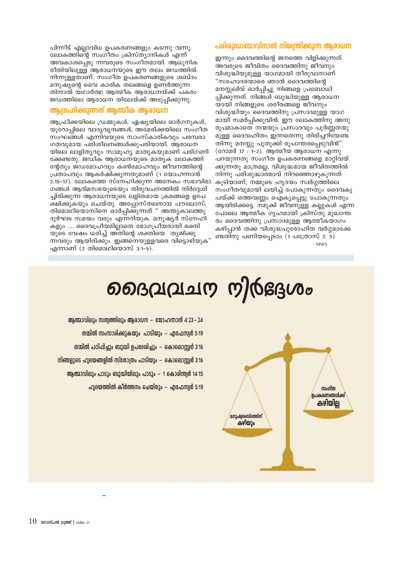### പരിരുദ്ധാത്മാവിനാൽ നിയന്ത്രിക്കുന്ന ആരാധന

പിന്നീട് എല്ലാവിധ ഉപകരണങ്ങളും കടന്നു വന്നു. ലോകത്തിന്റെ സംഗീതം ക്രിസ്ത്യാനികൾ എന്ന് അവകാശപ്പെടു ന്നവരുടെ സംഗീതമായി. ആധുനിക രീതിയിലുള്ള ആരാധനയുടെ ഈ തലം ജഡത്തിൽ നിന്നുള്ളതാണ്. സംഗീത ഉപകരണങ്ങളുടെ ശബ്ദം മനുഷ്യന്റെ വൈ കാരിക തലങ്ങളെ ഉണർത്തുന്ന തിനാൽ യഥാർത്ഥ ആത്മീക ആരാധനയ്ക്ക് പകരം ജഡത്തിലെ ആരാധന യിലേയ്ക്ക് അടുപ്പിക്കുന്നു. ആഗ്രഹിക്കുന്നത് ആത്മിക ആരാധന

ആഫ്രിക്കയിലെ ഡ്രമ്മുകൾ, ഏഷ്യയിലെ ഓർഗനുകൾ, യൂറോപ്പിലെ വാദ്യവൃന്ദങ്ങൾ, അമേരിക്കയിലെ സംഗീത സംഘങ്ങൾ എന്നിവയുടെ സാംസ്കാരികവും പരമ്പരാ ഗതവുമായ പരിശീലനങ്ങൾക്കുപരിയായി. ആരാധന യിലെ ലാളിതൃവും സാമൂഹ്യ മാതൃകയുമാണ് പരിഗണി ക്കേണ്ടതു. ജഡിക ആരാധനയുടെ മാത്യക ലോകത്തി ന്റേതും ജഡമോഹവും കൺമോഹവും ജീവനത്തിന്റെ പ്രതാപവും ആകർഷിക്കുന്നതുമാണ് (1 യോഹന്നാൻ  $2:15-17$ ). ലോകത്തെ സ്നേഹിക്കുന്ന അനേകം സഭാവിഭാ ഗങ്ങൾ ആദിമസഭയുടെയും തിരുവചനത്തിൽ നിർദ്ദേശി ച്ചിരിക്കുന്ന ആരാധനയുടെ ലളിതമായ ക്രമങ്ങളെ ഉപേ ക്ഷിക്കുകയും ചെയ്തു. അപ്പോസ്തലനായ പൗലോസ്, തിമൊഥിയൊസിനെ ഓർപ്പിക്കുന്നത്" അന്ത്യകാലത്തു ദുർഘട സമയം വരും എന്നറിയുക. മനുഷ്യർ സ്നേഹി .<br>കളും .... ദൈവപ്രീയമില്ലാതെ ഭോഗപ്രീയരായി ഭക്തി യുടെ വേഷം ധരിച്ച് അ്തിന്റെ ശക്തിയെ തൃജിക്കു ന്നവരും ആയിരിക്കും. ഇങ്ങനെയുള്ളവരെ വിടൊഴിയുക" എന്നാണ് (2 തിമൊഥിയൊസ്  $3:1-5$ ).

ഇന്നും ദൈവത്തിന്റെ ജനത്തെ വിളിക്കുന്നത് അവരുടെ ജീവിതം ദൈവത്തിനു ജീവനും വിശുദ്ധിയുമുള്ള യാഗമായി തീരുവാനാണ് "സഹോദരന്മാരെ ഞാൻ ദൈവത്തിന്റെ മനസ്സലിവ് ഓർപ്പിച്ചു നിങ്ങളെ പ്രബോധി പ്പിക്കുന്നത്. നിങ്ങൾ ബുദ്ധിയുള്ള ആരാധന യായി നിങ്ങളുടെ ശരീരങ്ങളെ ജീവനും വിശുദ്ധിയും ദൈവത്തിനു പ്രസാദമുള്ള യാഗ മായി സമർപ്പിക്കുവിൻ. ഈ ലോകത്തിനു അനു രൂപമാകാതെ നന്മയും പ്രസാദവും പൂർണ്ണതയു മുള്ള ദൈവഹിതം ഇന്നതെന്നു തിരിച്ചറിയേണ്ട തിന്നു മനസ്സു പുതുക്കി രൂപാന്തരപ്പെടുവിൻ" (റോമർ 12 : 1-2). ആത്മീയ ആരാധന എന്നു പറയുന്നതു സംഗീത ഉപകരണങ്ങളെ മാറ്റിവയ് ക്കുന്നതു മാത്രമല്ല, വിശുദ്ധമായ ജീവിതത്തിൽ നിന്നു പരിശുദ്ധാത്മാവ് നിറഞ്ഞൊഴുകുന്നത് കൂടിയാണ്, നമ്മുടെ ഹൃദയം സ്വർഗ്ഗത്തിലെ സംഗീതവുമായി ലയിച്ച് പോകുന്നതും ദൈവകൃ പയ്ക്ക് ഒത്തവണ്ണം ഐക്യപ്പെട്ടു പോകുന്നതും ആയിരിക്കട്ടെ. നമുക്ക് ജീവനുള്ള കല്ലുകൾ എന്ന പോലെ ആത്മീക ഗൃഹമായി ക്രിസ്തു മുഖാന്ത രം ദൈവത്തിനു പ്രസാദമുള്ള ആത്മീകയാഗം കഴിപ്പാൻ തക്ക വിശുദ്ധപുരോഹിത വർഗ്ഗമാക്കേ ണ്ടതിനു പണിയപ്പെടാം (1 പത്രോസ് 2: 5)  $-MWS$ 

# ളൈവ്യവാധ ധ്യിശുഭദം



- ആത്മാവിലും സത്വത്തിലും ആരാധന യോഹന്നാൻ 4:23–24 തമ്മിൽ സംസാരിക്കുകയും പാടിയും – എഫേസ്വർ 5:19 തമ്മിൽ പഠിപ്പിചും ബുദ്ധി ഉപദേശിചും – കൊലൊസ്വർ 3:16
- നിങ്ങളുടെ ഫ്വദയങ്ങളിൽ സ്തോത്രം പാടിയും കൊലൊസ്സർ 3:16
	- ആത്മാവിലും പാടും ബുദ്ധിയിലും പാടും 1 കൊരിന്ത്വർ 14:15
		- $\Omega$ വിദയത്തിൽ കീർത്തനം ചെയ്തും എഫേസ്വർ 5:19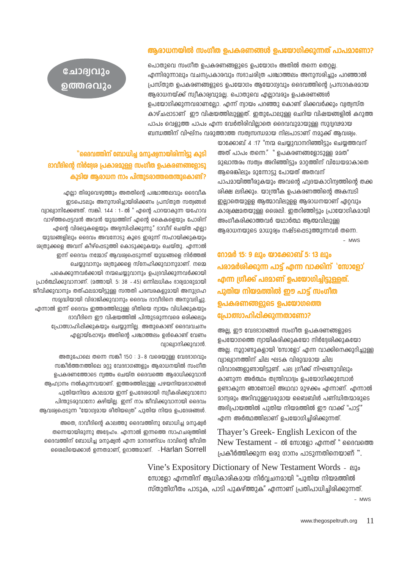### ആരാധനയിൽ സംഗീത ഉപകരണങ്ങൾ ഉപയോഗിക്കുന്നത് പാപമാണോ?

പൊതുവെ സംഗീത ഉപകരണങ്ങളുടെ ഉപയോഗം അതിൽ തന്നെ തെറല. എന്നിരുന്നാലും വചനപ്രകാരവും സദാചരിത്ര പശ്ചാത്തലം അനുസരിച്ചും പറഞ്ഞാൽ പ്രസ്തുത ഉപകരണങ്ങളുടെ ഉപയോഗം ആയോഗ്യവും ദൈവത്തിന്റെ പ്രസാദകരമായ ആരാധനയ്ക്ക് സ്വീകാര്വവുമല്ല. പൊതുവെ എല്ലാവരും ഉപകരണങ്ങൾ ഉപയോഗിക്കുന്നവരാണലോ. എന്ന് ന്വായം പറഞ്ഞു കൊണ്ട് മിക്കവർക്കും വ്വത്വസ്ത കാഴ്ചപ്പാടാണ് ഈ വിഷയത്തിലുള്ളത്. ഇതുപോലുള്ള ചെറിയ വിഷയങ്ങളിൽ കറുത്ത പാപം വെളുത്ത പാപം എന്ന വേർതിരിവില്ലാതെ ദൈവവുമായുള്ള സുദ്വഢമായ ബന്ധത്തിന് വിഘ്നം വരുത്താത്ത സത്വസന്ധമായ നിലപാടാണ് നമുക്ക് ആവശ്വം.

> യാക്കോബ് 4 :17 "നന്മ ചെയ്യുവാനറിഞ്ഞിട്ടും ചെയ്യത്തവന് അത് പാപം തന്നെ." " ഉപകരണങ്ങളോടുള്ള മമത" മുഖാന്തരം സത്വം അറിഞ്ഞിട്ടും മാറ്റത്തിന് വിധേയമാകാതെ ആരെങ്കിലും മുന്നോട്ടു പോയത് അതവന് പാപമായിത്തീരുകയും അവന്റെ ഹ്വദയകാഠിന്വത്തിന്റെ തക്ക ശിക്ഷ ലഭിക്കും. യാന്ത്രീക ഉപകരണത്തിന്റെ അകമ്പടി ഇല്ലാതെയുള്ള ആത്മാവിലുള്ള ആരാധനയാണ് ഏറ്റവും കാര്വക്ഷമതയുള്ള ശൈലി, ഇതറിഞ്ഞിട്ടും പ്രായോഗികമായി അംഗീകരിക്കാത്തവർ യഥാർത്ഥ ആത്മവിലുള്ള ആരാധനയുടെ മാധുര്വം നഷ്ടപ്പെടുത്തുന്നവർ തന്നെ.

> > $-MWS$

റോമർ 15: 9 ലും യാക്കോബ് 5: 13 ലും പരാമർശിക്കുന്ന പാട്ട് എന്ന വാക്കിന് 'സോളോ' എന്ന ഗ്രീക്ക് പദമാണ് ഉപയോഗിച്ചിട്ടുള്ളത്. പുതിയ നിയമത്തിൽ ഈ പാട്ട് സംഗീത ഉപകരണങ്ങളുടെ ഉപയോഗത്തെ പ്രോത്സാഹിപ്പിക്കുന്നതാണോ?

അല, ഈ വേദഭാഗങ്ങൾ സംഗീത ഉപകരണങ്ങളുടെ ഉപയോഗത്തെ ന്വായികരിക്കുകയോ നിർദ്ദേശിക്കുകയോ അല്ല. നൂറ്റാണ്ടുകളായി 'സോളോ' എന്ന വാക്കിനെക്കുറിച്ചുള്ള വ്വാഖ്വാനത്തിന് ചില ഘടക വിരുദ്ധമായ ചില വിവാദങ്ങളുണ്ടായിട്ടുണ്ട്. പല ഗ്രീക്ക് നിഘണ്ടുവിലും കാണുന്ന അർത്ഥം തന്ത്രിവാദ്യം ഉപയോഗിക്കുമ്പോൾ ഉണ്ടാകുന്ന ഞാണോലി അഥവാ മുഴക്കം എന്നാണ്. എന്നാൽ മാന്വരും അറിവുള്ളവരുമായ ബൈബിൾ പണ്ഡിതന്മാരുടെ അഭിപ്രായത്തിൽ പുതിയ നിയമത്തിൽ ഈ വാക്ക് "പാട്ട്" എന്ന അർത്ഥത്തിലാണ് ഉപയോഗിച്ചിരിക്കുന്നത്.

Thayer's Greek-English Lexicon of the New Testament - ൽ സോളോ എന്നത് "ദൈവത്തെ പ്രകീർത്തിക്കുന്ന ഒരു ഗാനം പാടുന്നതിനെയാണ് ".

Vine's Expository Dictionary of New Testament Words - ലും സോളോ എന്നതിന് ആധികാരികമായ നിർവചനമായി "പുതിയ നിയമത്തിൽ സ്തുതിഗീതം പാടുക, പാടി പുകഴ്ത്തുക" എന്നാണ് പ്രതിപാധിച്ചിരിക്കുന്നത്.

### $-MW.S$

## "ദൈവത്തിന് ബോധിച്ച മനുഷ്യനായിരിന്നിട്ടു കൂടി ദാവിദിന്റെ നിർദ്ദേശ പ്രകാരമുള്ള സംഗീത ഉപകരണങ്ങളോടു കൂടിയ ആരാധന നാം പിന്തുടരാത്തതെന്തുകൊണ്ട്?

ചോദ്വവും

൭ത്തരവും

എല്ലാ തിരുവെഴുത്തും അതതിന്റെ പശ്ചാത്തലവും ദൈവീക ഇടപെടലും അനുസരിച്ചായിരിക്കണം പ്രസ്തുത സത്വങ്ങൾ വ്വാഖ്വാനിക്കേണ്ടത്. സങ്കി. 144 : 1-ൽ " എന്റെ പാറയാകുന്ന യഹോവ വാഴ്ത്തപ്പെട്ടവൻ അവൻ യുദ്ധത്തിന് എന്റെ കൈകളെയും പോരിന് എന്റെ വിരലുകളെയും അഭ്വസിപ്പിക്കുന്നു." ദാവീദ് ചെയ്ത എല്ലാ യുദ്ധങ്ങളിലും ദൈവം അവനോടു കൂടെ ഇരുന്ന് സഹായിക്കുകയും ശ്വതുക്കളെ അവന് കീഴ്പ്പെടുത്തി കൊടുക്കുകയും ചെയ്തു. എന്നാൽ ഇന്ന് ദൈവം നമ്മോട് ആവശ്വപ്പെടുന്നത് യുദ്ധങ്ങളെ നിർത്തൽ ചെയ്യുവാനും ശ്വതുക്കളെ സ്നേഹിക്കുവാനുമാണ്. നമ്മെ പകെക്കുന്നവർക്കായി നന്മചെയ്യുവാനും ഉപദ്രവിക്കുന്നവർക്കായി പ്രാർത്ഥിക്കുവാനാണ്. (മത്തായി. 5: 38 - 45) ഒന്നിലധികം ഭാര്വമാരുമായി ജീവിക്കുവാനും തത്ഫലമായിട്ടുള്ള സന്തതി പരമ്പരകളുമായി അനുഗ്രഹ സമ്പദ്ധിയായി വിരാജിക്കുവാനും ദൈവം ദാവീദിനെ അനുവദിച്ചു. എന്നാൽ ഇന്ന് ദൈവം ഇത്തരത്തിലുള്ള രീതിയെ ന്വായം വിധിക്കുകയും ദാവീദിനെ ഈ വിഷയത്തിൽ പിന്തുടരുന്നവരെ ഒരിക്കലും പ്രോത്സാഹിപ്പിക്കുകയും ചെയ്യുന്നില്ല. അതുകൊണ്ട് ദൈവവചനം എല്ലായ്പ്പോഴും അതിന്റെ പശ്ചാത്തലം ഉൾകൊണ്ട് വേണം വ്വാഖ്വാനിക്കുവാൻ.

അതുപോലെ തന്നെ സങ്കീ 150 : 3-8 വരെയുള്ള വേദഭാഗവും സങ്കീർത്തനത്തിലെ മറ്റു വേദഭാഗങ്ങളും ആരാധനയിൽ സംഗീത ഉപകരണത്തോടെ ന്വത്തം ചെയ്ത ദൈവത്തെ ആരാധിക്കുവാൻ ആഹ്വാനം നൽകുന്നവയാണ്. ഇത്തരത്തിലുള്ള പഴയനിയമദാഗങ്ങൾ പുതിയനിയമ കാലമായ ഇന്ന് ഉപദേശമായി സ്വീകരിക്കുവാനോ പിന്തുടരുവാനോ കഴിയില്ല. ഇന്ന് നാം ജീവിക്കുവാനായി ദൈവം അവശ്വപ്പെടുന്ന "യോഗ്വമായ രീതിയത്രെ" പുതിയ നിയമ ഉപദേശങ്ങൾ.

അതെ, ദാവീദിന്റെ കാലത്തു ദൈവത്തിനു ബോധിച്ച മനുഷ്വർ തന്നെയായിരുന്നു അദ്ദേഹം. എന്നാൽ ഇന്നത്തെ സാഹചര്യത്തിൽ ദൈവത്തിന് ബോധിച്ച മനുഷ്വൻ എന്ന മാനദണ്ഡം ദാവിന്റെ ജീവിത ംശെലിയെക്കാൾ ഉന്നതമാണ്, ഉദാത്തമാണ്. - Harlan Sorrell